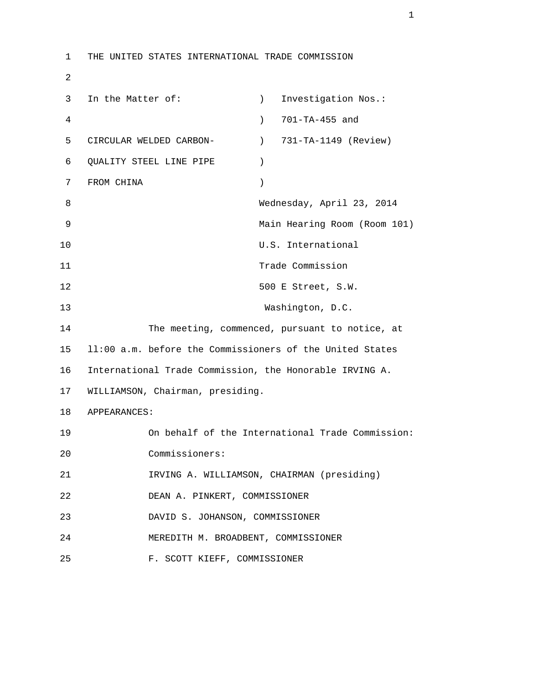1 THE UNITED STATES INTERNATIONAL TRADE COMMISSION 2 3 In the Matter of: (a) investigation Nos.: 4 ) 701-TA-455 and 5 CIRCULAR WELDED CARBON- ) 731-TA-1149 (Review) 6 QUALITY STEEL LINE PIPE ) 7 FROM CHINA ) 8 Wednesday, April 23, 2014 9 Main Hearing Room (Room 101) 10 U.S. International 11 Trade Commission 12 500 E Street, S.W. 13 Washington, D.C. 14 The meeting, commenced, pursuant to notice, at 15 ll:00 a.m. before the Commissioners of the United States 16 International Trade Commission, the Honorable IRVING A. 17 WILLIAMSON, Chairman, presiding. 18 APPEARANCES: 19 On behalf of the International Trade Commission: 20 Commissioners: 21 IRVING A. WILLIAMSON, CHAIRMAN (presiding) 22 DEAN A. PINKERT, COMMISSIONER 23 DAVID S. JOHANSON, COMMISSIONER 24 MEREDITH M. BROADBENT, COMMISSIONER 25 F. SCOTT KIEFF, COMMISSIONER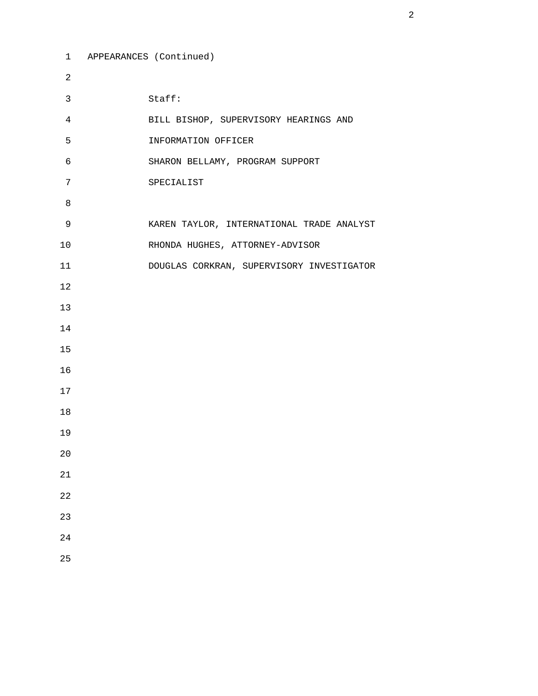```
 1 APPEARANCES (Continued) 
2 
3 Staff: 
4 BILL BISHOP, SUPERVISORY HEARINGS AND 
5 INFORMATION OFFICER 
6 SHARON BELLAMY, PROGRAM SUPPORT 
7 SPECIALIST 
8 
9 KAREN TAYLOR, INTERNATIONAL TRADE ANALYST 
10 RHONDA HUGHES, ATTORNEY-ADVISOR 
11 DOUGLAS CORKRAN, SUPERVISORY INVESTIGATOR 
12 
13 
14 
15 
16 
17 
18 
19 
20 
21 
22 
23 
24 
25
```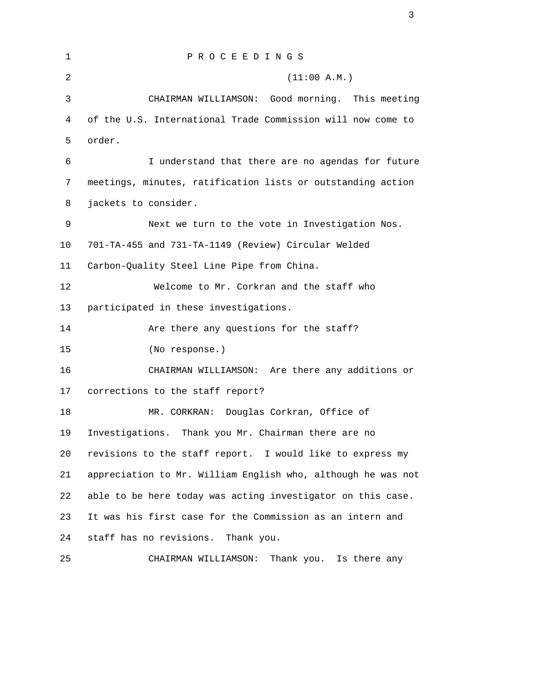| $\mathbf{1}$   | PROCEEDINGS                                                  |
|----------------|--------------------------------------------------------------|
| $\overline{a}$ | (11:00 A.M.)                                                 |
| $\mathfrak{Z}$ | Good morning. This meeting<br>CHAIRMAN WILLIAMSON:           |
| $\overline{4}$ | of the U.S. International Trade Commission will now come to  |
| 5              | order.                                                       |
| 6              | I understand that there are no agendas for future            |
| 7              | meetings, minutes, ratification lists or outstanding action  |
| 8              | jackets to consider.                                         |
| 9              | Next we turn to the vote in Investigation Nos.               |
| 10             | 701-TA-455 and 731-TA-1149 (Review) Circular Welded          |
| 11             | Carbon-Quality Steel Line Pipe from China.                   |
| 12             | Welcome to Mr. Corkran and the staff who                     |
| 13             | participated in these investigations.                        |
| 14             | Are there any questions for the staff?                       |
| 15             | (No response.)                                               |
| 16             | CHAIRMAN WILLIAMSON: Are there any additions or              |
| 17             | corrections to the staff report?                             |
| 18             | MR. CORKRAN: Douglas Corkran, Office of                      |
| 19             | Investigations. Thank you Mr. Chairman there are no          |
| 20             | revisions to the staff report. I would like to express my    |
| 21             | appreciation to Mr. William English who, although he was not |
| 22             | able to be here today was acting investigator on this case.  |
| 23             | It was his first case for the Commission as an intern and    |
| 24             | staff has no revisions. Thank you.                           |
| 25             | CHAIRMAN WILLIAMSON: Thank you. Is there any                 |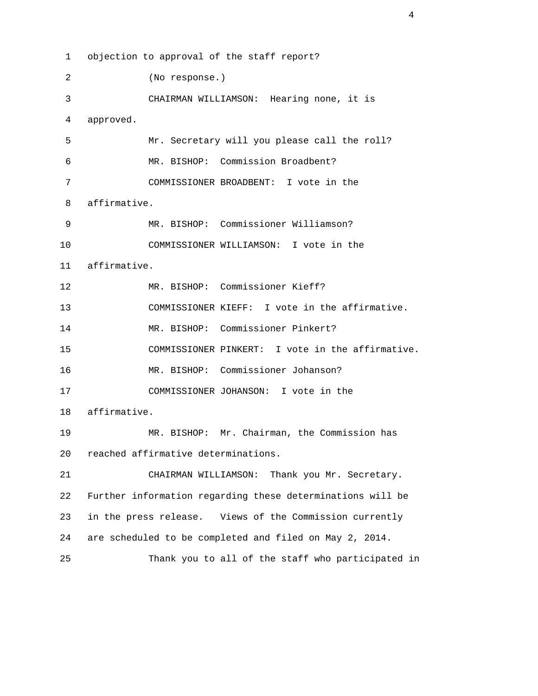1 objection to approval of the staff report? 2 (No response.) 3 CHAIRMAN WILLIAMSON: Hearing none, it is 4 approved. 5 Mr. Secretary will you please call the roll? 6 MR. BISHOP: Commission Broadbent? 7 COMMISSIONER BROADBENT: I vote in the 8 affirmative. 9 MR. BISHOP: Commissioner Williamson? 10 COMMISSIONER WILLIAMSON: I vote in the 11 affirmative. 12 MR. BISHOP: Commissioner Kieff? 13 COMMISSIONER KIEFF: I vote in the affirmative. 14 MR. BISHOP: Commissioner Pinkert? 15 COMMISSIONER PINKERT: I vote in the affirmative. 16 MR. BISHOP: Commissioner Johanson? 17 COMMISSIONER JOHANSON: I vote in the 18 affirmative. 19 MR. BISHOP: Mr. Chairman, the Commission has 20 reached affirmative determinations. 21 CHAIRMAN WILLIAMSON: Thank you Mr. Secretary. 22 Further information regarding these determinations will be 23 in the press release. Views of the Commission currently 24 are scheduled to be completed and filed on May 2, 2014. 25 Thank you to all of the staff who participated in